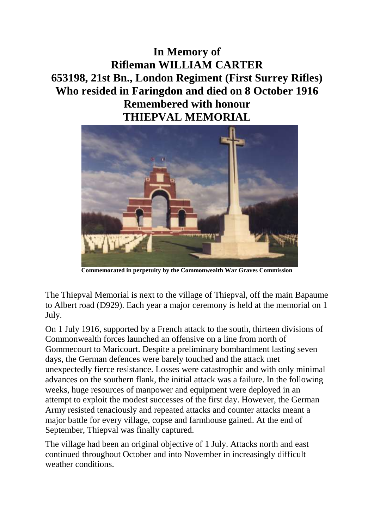**In Memory of Rifleman WILLIAM CARTER 653198, 21st Bn., London Regiment (First Surrey Rifles) Who resided in Faringdon and died on 8 October 1916 Remembered with honour THIEPVAL MEMORIAL**



**Commemorated in perpetuity by the Commonwealth War Graves Commission** 

The Thiepval Memorial is next to the village of Thiepval, off the main Bapaume to Albert road (D929). Each year a major ceremony is held at the memorial on 1 July.

On 1 July 1916, supported by a French attack to the south, thirteen divisions of Commonwealth forces launched an offensive on a line from north of Gommecourt to Maricourt. Despite a preliminary bombardment lasting seven days, the German defences were barely touched and the attack met unexpectedly fierce resistance. Losses were catastrophic and with only minimal advances on the southern flank, the initial attack was a failure. In the following weeks, huge resources of manpower and equipment were deployed in an attempt to exploit the modest successes of the first day. However, the German Army resisted tenaciously and repeated attacks and counter attacks meant a major battle for every village, copse and farmhouse gained. At the end of September, Thiepval was finally captured.

The village had been an original objective of 1 July. Attacks north and east continued throughout October and into November in increasingly difficult weather conditions.